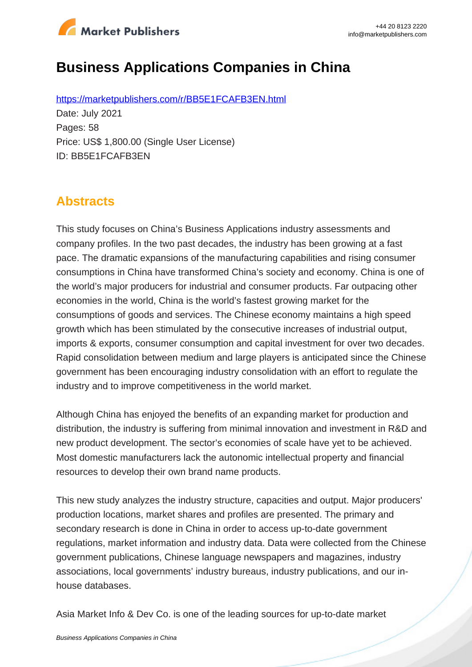

# **Business Applications Companies in China**

https://marketpublishers.com/r/BB5E1FCAFB3EN.html Date: July 2021 Pages: 58 Price: US\$ 1,800.00 (Single User License) ID: BB5E1FCAFB3EN

### **Abstracts**

This study focuses on China's Business Applications industry assessments and company profiles. In the two past decades, the industry has been growing at a fast pace. The dramatic expansions of the manufacturing capabilities and rising consumer consumptions in China have transformed China's society and economy. China is one of the world's major producers for industrial and consumer products. Far outpacing other economies in the world, China is the world's fastest growing market for the consumptions of goods and services. The Chinese economy maintains a high speed growth which has been stimulated by the consecutive increases of industrial output, imports & exports, consumer consumption and capital investment for over two decades. Rapid consolidation between medium and large players is anticipated since the Chinese government has been encouraging industry consolidation with an effort to regulate the industry and to improve competitiveness in the world market.

Although China has enjoyed the benefits of an expanding market for production and distribution, the industry is suffering from minimal innovation and investment in R&D and new product development. The sector's economies of scale have yet to be achieved. Most domestic manufacturers lack the autonomic intellectual property and financial resources to develop their own brand name products.

This new study analyzes the industry structure, capacities and output. Major producers' production locations, market shares and profiles are presented. The primary and secondary research is done in China in order to access up-to-date government regulations, market information and industry data. Data were collected from the Chinese government publications, Chinese language newspapers and magazines, industry associations, local governments' industry bureaus, industry publications, and our inhouse databases.

Asia Market Info & Dev Co. is one of the leading sources for up-to-date market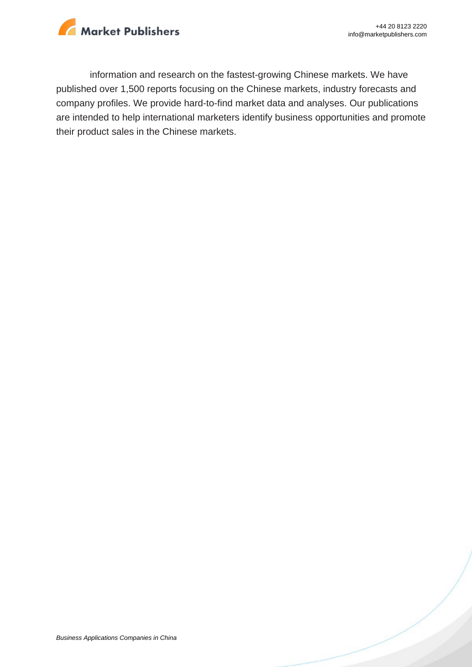

information and research on the fastest-growing Chinese markets. We have published over 1,500 reports focusing on the Chinese markets, industry forecasts and company profiles. We provide hard-to-find market data and analyses. Our publications are intended to help international marketers identify business opportunities and promote their product sales in the Chinese markets.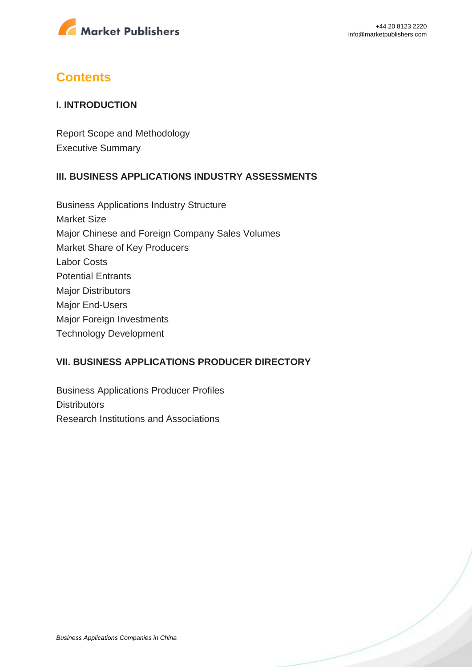

### **Contents**

#### **I. INTRODUCTION**

Report Scope and Methodology Executive Summary

#### **III. BUSINESS APPLICATIONS INDUSTRY ASSESSMENTS**

Business Applications Industry Structure Market Size Major Chinese and Foreign Company Sales Volumes Market Share of Key Producers Labor Costs Potential Entrants Major Distributors Major End-Users Major Foreign Investments Technology Development

#### **VII. BUSINESS APPLICATIONS PRODUCER DIRECTORY**

Business Applications Producer Profiles **Distributors** Research Institutions and Associations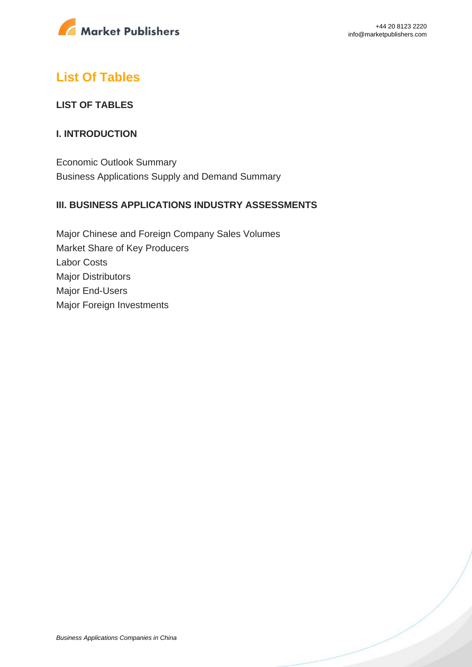

### **List Of Tables**

#### **LIST OF TABLES**

#### **I. INTRODUCTION**

Economic Outlook Summary Business Applications Supply and Demand Summary

#### **III. BUSINESS APPLICATIONS INDUSTRY ASSESSMENTS**

Major Chinese and Foreign Company Sales Volumes Market Share of Key Producers Labor Costs Major Distributors Major End-Users Major Foreign Investments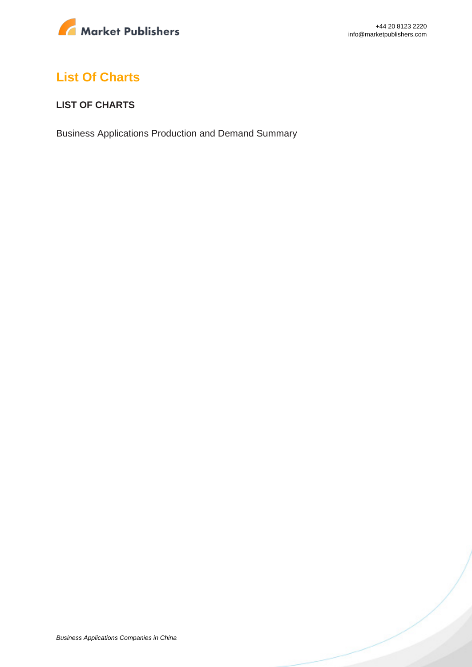

## **List Of Charts**

#### **LIST OF CHARTS**

Business Applications Production and Demand Summary